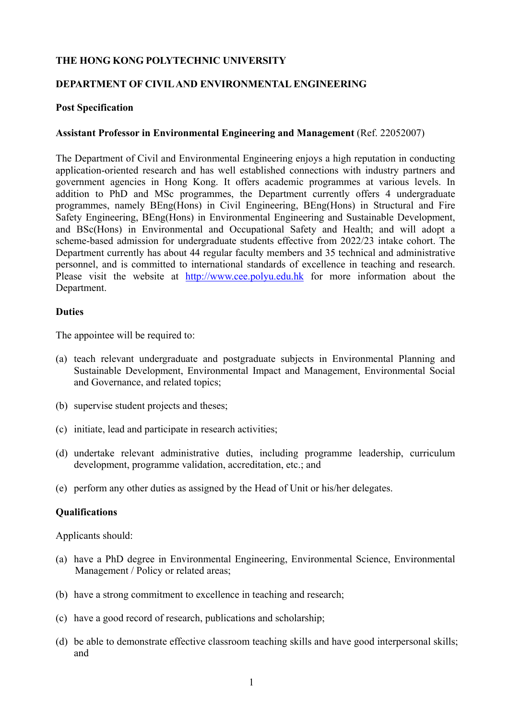## **THE HONG KONG POLYTECHNIC UNIVERSITY**

## **DEPARTMENT OF CIVIL AND ENVIRONMENTAL ENGINEERING**

### **Post Specification**

### **Assistant Professor in Environmental Engineering and Management** (Ref. 22052007)

The Department of Civil and Environmental Engineering enjoys a high reputation in conducting application-oriented research and has well established connections with industry partners and government agencies in Hong Kong. It offers academic programmes at various levels. In addition to PhD and MSc programmes, the Department currently offers 4 undergraduate programmes, namely BEng(Hons) in Civil Engineering, BEng(Hons) in Structural and Fire Safety Engineering, BEng(Hons) in Environmental Engineering and Sustainable Development, and BSc(Hons) in Environmental and Occupational Safety and Health; and will adopt a scheme-based admission for undergraduate students effective from 2022/23 intake cohort. The Department currently has about 44 regular faculty members and 35 technical and administrative personnel, and is committed to international standards of excellence in teaching and research. Please visit the website at http://www.cee.polyu.edu.hk for more information about the Department.

#### **Duties**

The appointee will be required to:

- (a) teach relevant undergraduate and postgraduate subjects in Environmental Planning and Sustainable Development, Environmental Impact and Management, Environmental Social and Governance, and related topics;
- (b) supervise student projects and theses;
- (c) initiate, lead and participate in research activities;
- (d) undertake relevant administrative duties, including programme leadership, curriculum development, programme validation, accreditation, etc.; and
- (e) perform any other duties as assigned by the Head of Unit or his/her delegates.

## **Qualifications**

Applicants should:

- (a) have a PhD degree in Environmental Engineering, Environmental Science, Environmental Management / Policy or related areas;
- (b) have a strong commitment to excellence in teaching and research;
- (c) have a good record of research, publications and scholarship;
- (d) be able to demonstrate effective classroom teaching skills and have good interpersonal skills; and